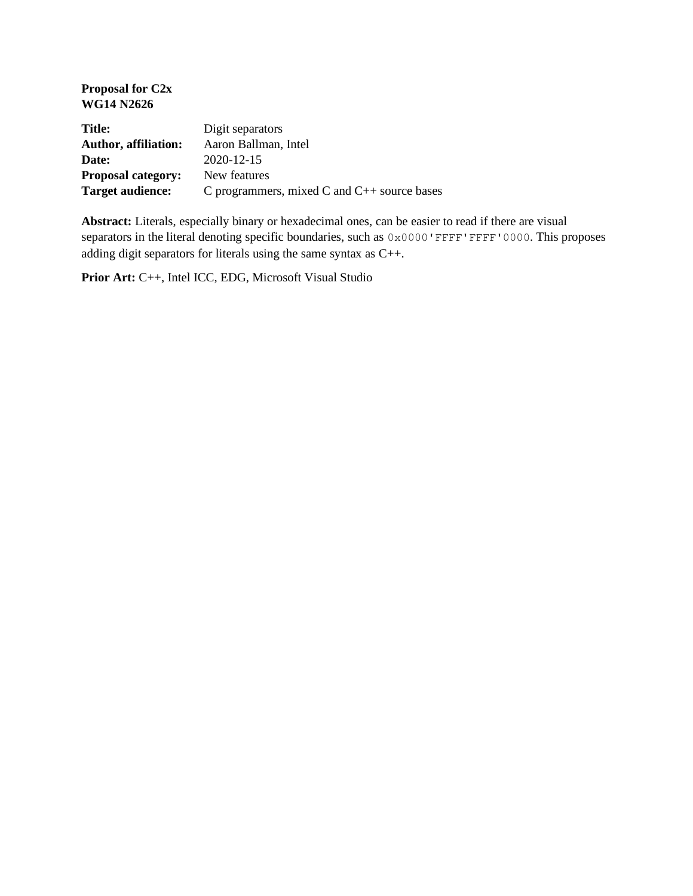| Proposal for C <sub>2x</sub><br><b>WG14 N2626</b> |                                                  |
|---------------------------------------------------|--------------------------------------------------|
| Title:                                            | Digit separators                                 |
| <b>Author, affiliation:</b>                       | Aaron Ballman, Intel                             |
| Date:                                             | 2020-12-15                                       |
| <b>Proposal category:</b>                         | New features                                     |
| <b>Target audience:</b>                           | C programmers, mixed C and $C_{++}$ source bases |

**Abstract:** Literals, especially binary or hexadecimal ones, can be easier to read if there are visual separators in the literal denoting specific boundaries, such as  $0 \times 0000$  'FFFF'FFF' 0000. This proposes adding digit separators for literals using the same syntax as C++.

**Prior Art:** C++, Intel ICC, EDG, Microsoft Visual Studio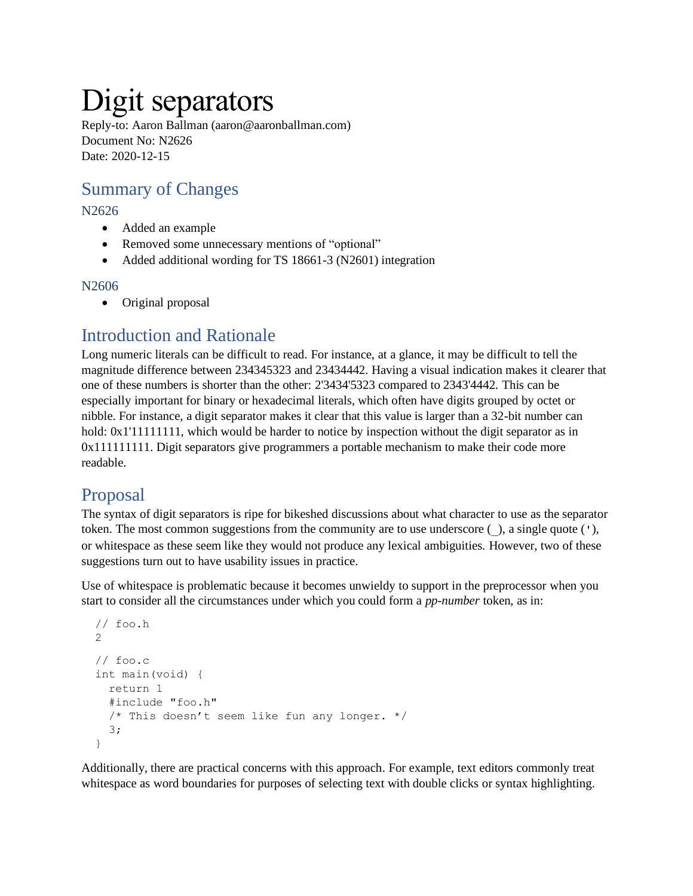# Digit separators

Reply-to: Aaron Ballman (aaron@aaronballman.com) Document No: N2626 Date: 2020-12-15

# Summary of Changes

#### N2626

- Added an example
- Removed some unnecessary mentions of "optional"
- Added additional wording for TS 18661-3 (N2601) integration

#### N2606

• Original proposal

# Introduction and Rationale

Long numeric literals can be difficult to read. For instance, at a glance, it may be difficult to tell the magnitude difference between 234345323 and 23434442. Having a visual indication makes it clearer that one of these numbers is shorter than the other: 2'3434'5323 compared to 2343'4442. This can be especially important for binary or hexadecimal literals, which often have digits grouped by octet or nibble. For instance, a digit separator makes it clear that this value is larger than a 32-bit number can hold:  $0x1'1111111$ , which would be harder to notice by inspection without the digit separator as in 0x111111111. Digit separators give programmers a portable mechanism to make their code more readable.

# Proposal

The syntax of digit separators is ripe for bikeshed discussions about what character to use as the separator token. The most common suggestions from the community are to use underscore (\_), a single quote ('), or whitespace as these seem like they would not produce any lexical ambiguities. However, two of these suggestions turn out to have usability issues in practice.

Use of whitespace is problematic because it becomes unwieldy to support in the preprocessor when you start to consider all the circumstances under which you could form a *pp-number* token, as in:

```
 // foo.h
 2
 // foo.c
 int main(void) {
   return 1
   #include "foo.h"
   /* This doesn't seem like fun any longer. */
   3;
 }
```
Additionally, there are practical concerns with this approach. For example, text editors commonly treat whitespace as word boundaries for purposes of selecting text with double clicks or syntax highlighting.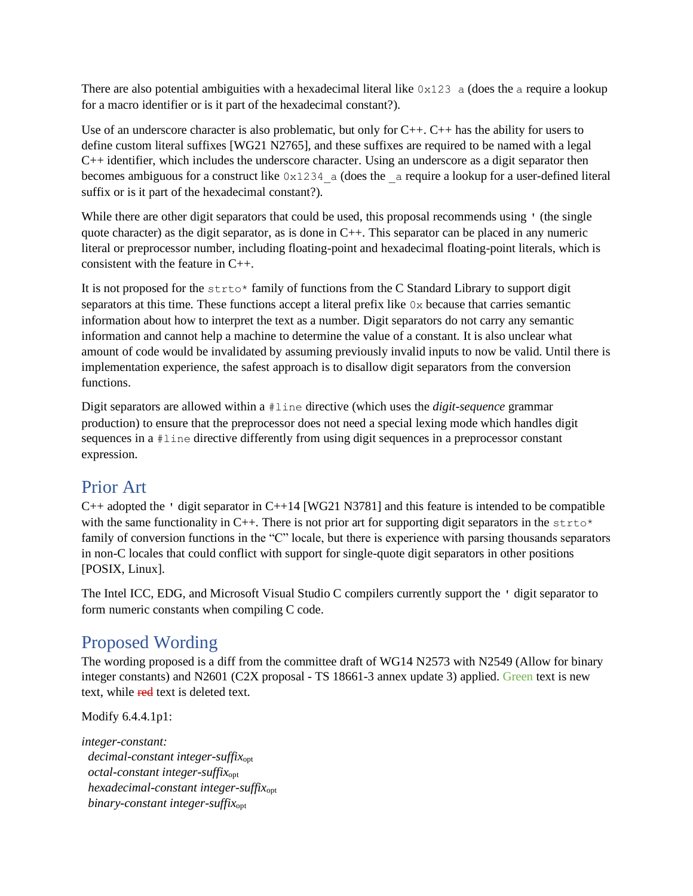There are also potential ambiguities with a hexadecimal literal like  $0 \times 123$  a (does the a require a lookup for a macro identifier or is it part of the hexadecimal constant?).

Use of an underscore character is also problematic, but only for C++. C++ has the ability for users to define custom literal suffixes [WG21 N2765], and these suffixes are required to be named with a legal  $C_{++}$  identifier, which includes the underscore character. Using an underscore as a digit separator then becomes ambiguous for a construct like  $0 \times 1234$  a (does the a require a lookup for a user-defined literal suffix or is it part of the hexadecimal constant?).

While there are other digit separators that could be used, this proposal recommends using ' (the single quote character) as the digit separator, as is done in  $C_{++}$ . This separator can be placed in any numeric literal or preprocessor number, including floating-point and hexadecimal floating-point literals, which is consistent with the feature in C++.

It is not proposed for the  $strot \rightarrow$  family of functions from the C Standard Library to support digit separators at this time. These functions accept a literal prefix like  $0x$  because that carries semantic information about how to interpret the text as a number. Digit separators do not carry any semantic information and cannot help a machine to determine the value of a constant. It is also unclear what amount of code would be invalidated by assuming previously invalid inputs to now be valid. Until there is implementation experience, the safest approach is to disallow digit separators from the conversion functions.

Digit separators are allowed within a #line directive (which uses the *digit-sequence* grammar production) to ensure that the preprocessor does not need a special lexing mode which handles digit sequences in a #line directive differently from using digit sequences in a preprocessor constant expression.

### Prior Art

C++ adopted the ' digit separator in C++14 [WG21 N3781] and this feature is intended to be compatible with the same functionality in C++. There is not prior art for supporting digit separators in the strto\* family of conversion functions in the "C" locale, but there is experience with parsing thousands separators in non-C locales that could conflict with support for single-quote digit separators in other positions [POSIX, Linux].

The Intel ICC, EDG, and Microsoft Visual Studio C compilers currently support the ' digit separator to form numeric constants when compiling C code.

# Proposed Wording

The wording proposed is a diff from the committee draft of WG14 N2573 with N2549 (Allow for binary integer constants) and N2601 (C2X proposal - TS 18661-3 annex update 3) applied. Green text is new text, while red text is deleted text.

Modify 6.4.4.1p1:

*integer-constant: decimal-constant integer-suffix*opt  *octal-constant integer-suffix*opt  *hexadecimal-constant integer-suffix*opt  *binary-constant integer-suffix*opt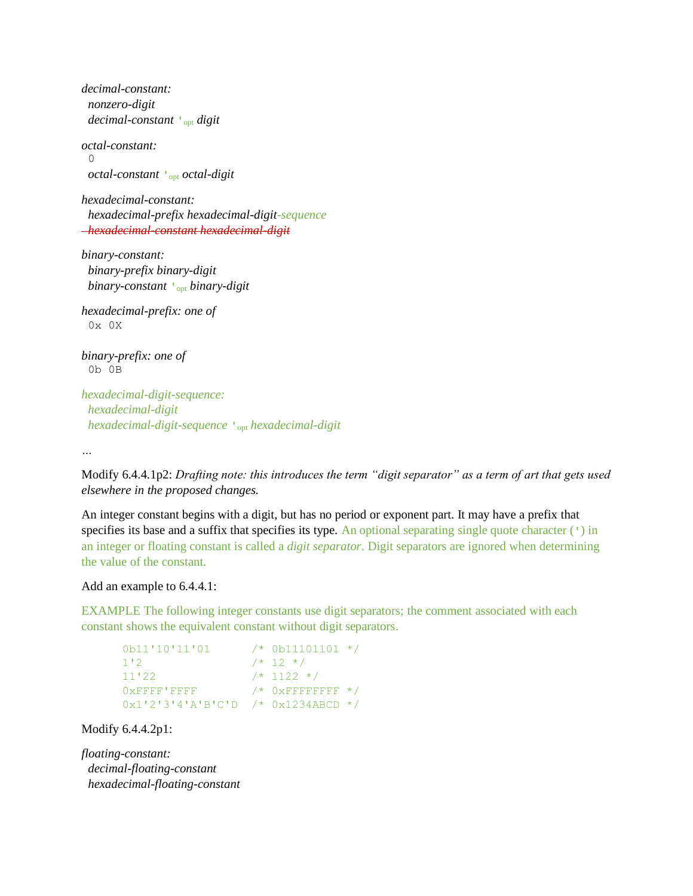*decimal-constant: nonzero-digit decimal-constant* **'**opt *digit octal-constant:* 0  *octal-constant* **'**opt *octal-digit hexadecimal-constant: hexadecimal-prefix hexadecimal-digit-sequence hexadecimal-constant hexadecimal-digit binary-constant: binary-prefix binary-digit binary-constant* **'**opt *binary-digit hexadecimal-prefix: one of* 0x 0X *binary-prefix: one of* 0b 0B *hexadecimal-digit-sequence:*

 *hexadecimal-digit hexadecimal-digit-sequence* **'**opt *hexadecimal-digit*

*…*

Modify 6.4.4.1p2: *Drafting note: this introduces the term "digit separator" as a term of art that gets used elsewhere in the proposed changes.*

An integer constant begins with a digit, but has no period or exponent part. It may have a prefix that specifies its base and a suffix that specifies its type. An optional separating single quote character  $(')$  in an integer or floating constant is called a *digit separator*. Digit separators are ignored when determining the value of the constant.

#### Add an example to 6.4.4.1:

EXAMPLE The following integer constants use digit separators; the comment associated with each constant shows the equivalent constant without digit separators.

```
0b11'10'11'01 /* 0b11101101 */
1'2 /* 12 */
11'22 /* 1122 */
0 \times \text{FFFF} \cdot \text{FFFF} \quad \star \; / \; \; 0 \times \text{FFFFFFFF} \; \star \; / \;0x1'2'3'4'A'B'C'D /* 0x1234ABCD */
```
Modify 6.4.4.2p1:

*floating-constant: decimal-floating-constant hexadecimal-floating-constant*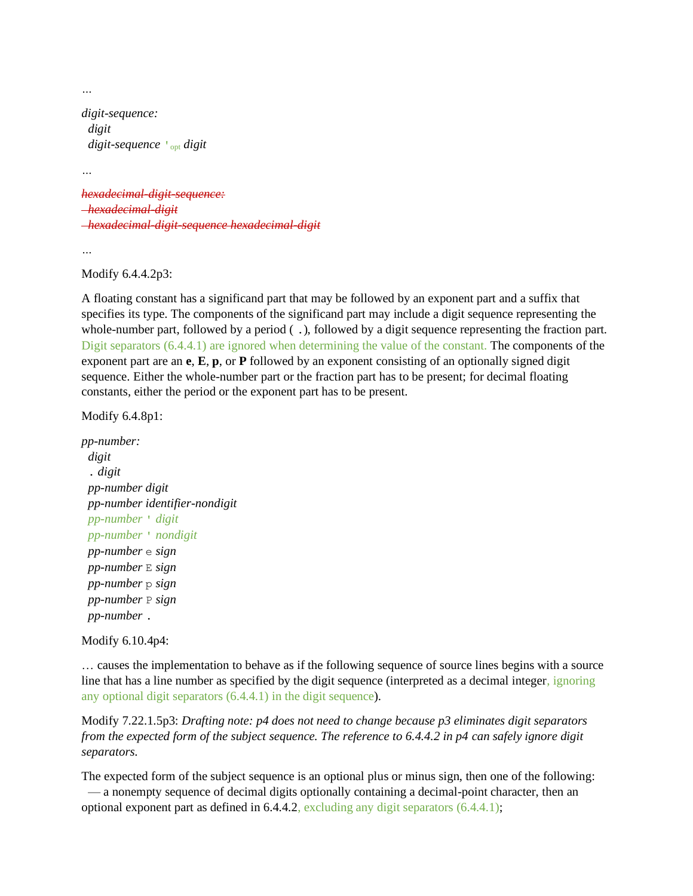*…*

```
digit-sequence:
  digit
  digit-sequence 'opt digit
```
*…*

*hexadecimal-digit-sequence: hexadecimal-digit hexadecimal-digit-sequence hexadecimal-digit*

*…*

Modify 6.4.4.2p3:

A floating constant has a significand part that may be followed by an exponent part and a suffix that specifies its type. The components of the significand part may include a digit sequence representing the whole-number part, followed by a period ( .), followed by a digit sequence representing the fraction part. Digit separators (6.4.4.1) are ignored when determining the value of the constant. The components of the exponent part are an **e**, **E**, **p**, or **P** followed by an exponent consisting of an optionally signed digit sequence. Either the whole-number part or the fraction part has to be present; for decimal floating constants, either the period or the exponent part has to be present.

Modify 6.4.8p1:

*pp-number: digit* . *digit pp-number digit pp-number identifier-nondigit pp-number* ' *digit pp-number* ' *nondigit pp-number* e *sign pp-number* E *sign pp-number* p *sign pp-number* P *sign pp-number* .

Modify 6.10.4p4:

… causes the implementation to behave as if the following sequence of source lines begins with a source line that has a line number as specified by the digit sequence (interpreted as a decimal integer, ignoring any optional digit separators (6.4.4.1) in the digit sequence).

Modify 7.22.1.5p3: *Drafting note: p4 does not need to change because p3 eliminates digit separators from the expected form of the subject sequence. The reference to 6.4.4.2 in p4 can safely ignore digit separators.*

The expected form of the subject sequence is an optional plus or minus sign, then one of the following: — a nonempty sequence of decimal digits optionally containing a decimal-point character, then an optional exponent part as defined in 6.4.4.2, excluding any digit separators (6.4.4.1);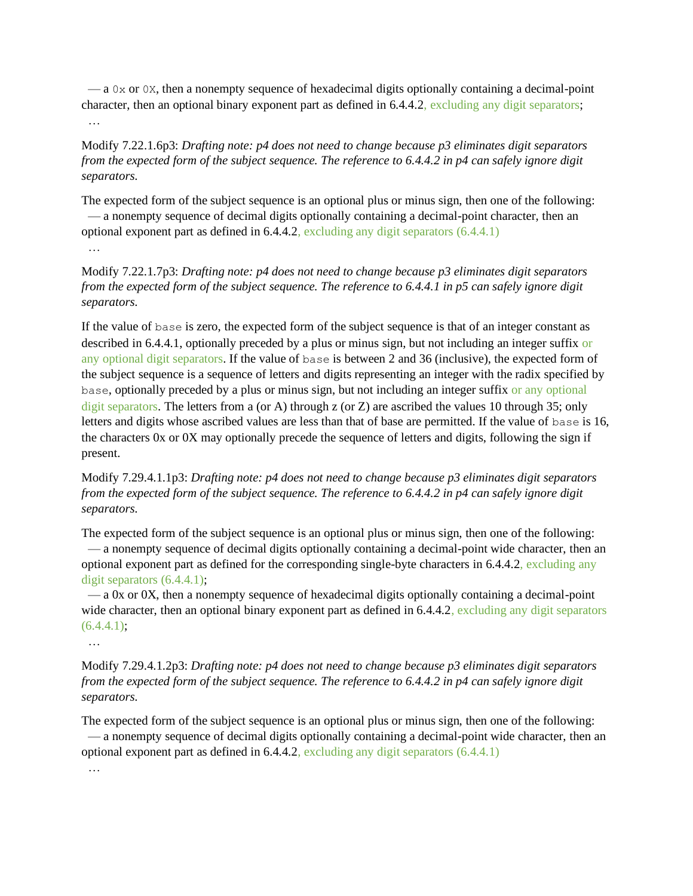$-$  a 0x or 0x, then a nonempty sequence of hexadecimal digits optionally containing a decimal-point character, then an optional binary exponent part as defined in 6.4.4.2, excluding any digit separators; …

Modify 7.22.1.6p3: *Drafting note: p4 does not need to change because p3 eliminates digit separators from the expected form of the subject sequence. The reference to 6.4.4.2 in p4 can safely ignore digit separators.*

The expected form of the subject sequence is an optional plus or minus sign, then one of the following: — a nonempty sequence of decimal digits optionally containing a decimal-point character, then an optional exponent part as defined in 6.4.4.2, excluding any digit separators (6.4.4.1)

…

Modify 7.22.1.7p3: *Drafting note: p4 does not need to change because p3 eliminates digit separators from the expected form of the subject sequence. The reference to 6.4.4.1 in p5 can safely ignore digit separators.*

If the value of base is zero, the expected form of the subject sequence is that of an integer constant as described in 6.4.4.1, optionally preceded by a plus or minus sign, but not including an integer suffix or any optional digit separators. If the value of base is between 2 and 36 (inclusive), the expected form of the subject sequence is a sequence of letters and digits representing an integer with the radix specified by base, optionally preceded by a plus or minus sign, but not including an integer suffix or any optional digit separators. The letters from a (or A) through z (or Z) are ascribed the values 10 through 35; only letters and digits whose ascribed values are less than that of base are permitted. If the value of base is 16, the characters 0x or 0X may optionally precede the sequence of letters and digits, following the sign if present.

Modify 7.29.4.1.1p3: *Drafting note: p4 does not need to change because p3 eliminates digit separators from the expected form of the subject sequence. The reference to 6.4.4.2 in p4 can safely ignore digit separators.*

The expected form of the subject sequence is an optional plus or minus sign, then one of the following: — a nonempty sequence of decimal digits optionally containing a decimal-point wide character, then an optional exponent part as defined for the corresponding single-byte characters in 6.4.4.2, excluding any digit separators  $(6.4.4.1)$ ;

 — a 0x or 0X, then a nonempty sequence of hexadecimal digits optionally containing a decimal-point wide character, then an optional binary exponent part as defined in 6.4.4.2, excluding any digit separators  $(6.4.4.1);$ 

…

Modify 7.29.4.1.2p3: *Drafting note: p4 does not need to change because p3 eliminates digit separators from the expected form of the subject sequence. The reference to 6.4.4.2 in p4 can safely ignore digit separators.*

The expected form of the subject sequence is an optional plus or minus sign, then one of the following: — a nonempty sequence of decimal digits optionally containing a decimal-point wide character, then an optional exponent part as defined in 6.4.4.2, excluding any digit separators (6.4.4.1)

…